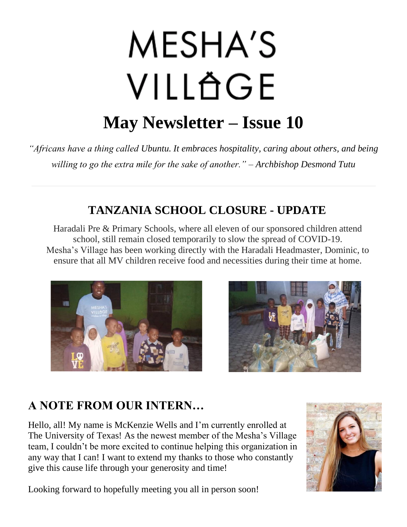# MESHA'S VILLÄGE **May Newsletter – Issue 10**

*"Africans have a thing called Ubuntu. It embraces hospitality, caring about others, and being willing to go the extra mile for the sake of another." – Archbishop Desmond Tutu*

## **TANZANIA SCHOOL CLOSURE - UPDATE**

Haradali Pre & Primary Schools, where all eleven of our sponsored children attend school, still remain closed temporarily to slow the spread of COVID-19. Mesha's Village has been working directly with the Haradali Headmaster, Dominic, to ensure that all MV children receive food and necessities during their time at home.





## **A NOTE FROM OUR INTERN…**

Hello, all! My name is McKenzie Wells and I'm currently enrolled at The University of Texas! As the newest member of the Mesha's Village team, I couldn't be more excited to continue helping this organization in any way that I can! I want to extend my thanks to those who constantly give this cause life through your generosity and time!



Looking forward to hopefully meeting you all in person soon!